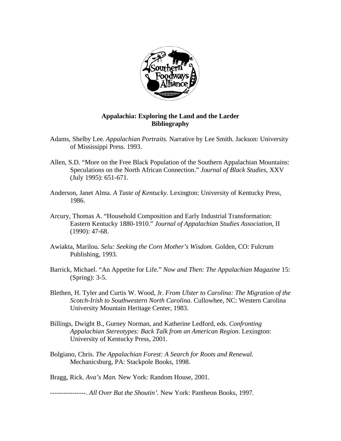

## **Appalachia: Exploring the Land and the Larder Bibliography**

- Adams, Shelby Lee. *Appalachian Portraits.* Narrative by Lee Smith. Jackson: University of Mississippi Press. 1993.
- Allen, S.D. "More on the Free Black Population of the Southern Appalachian Mountains: Speculations on the North African Connection." *Journal of Black Studies,* XXV (July 1995): 651-671.
- Anderson, Janet Alma. *A Taste of Kentucky.* Lexington: University of Kentucky Press, 1986.
- Arcury, Thomas A. "Household Composition and Early Industrial Transformation: Eastern Kentucky 1880-1910." *Journal of Appalachian Studies Association,* II (1990): 47-68.
- Awiakta, Marilou. *Selu: Seeking the Corn Mother's Wisdom.* Golden, CO: Fulcrum Publishing, 1993.
- Barrick, Michael. "An Appetite for Life." *Now and Then: The Appalachian Magazine* 15: (Spring): 3-5.
- Blethen, H. Tyler and Curtis W. Wood, Jr. *From Ulster to Carolina: The Migration of the Scotch-Irish to Southwestern North Carolina.* Cullowhee, NC: Western Carolina University Mountain Heritage Center, 1983.
- Billings, Dwight B., Gurney Norman, and Katherine Ledford, eds. *Confronting Appalachian Stereotypes: Back Talk from an American Region.* Lexington: University of Kentucky Press, 2001.
- Bolgiano, Chris. *The Appalachian Forest: A Search for Roots and Renewal.*  Mechanicsburg, PA: Stackpole Books, 1998.

Bragg, Rick. *Ava's Man.* New York: Random House, 2001.

----------------. *All Over But the Shoutin'.* New York: Pantheon Books, 1997.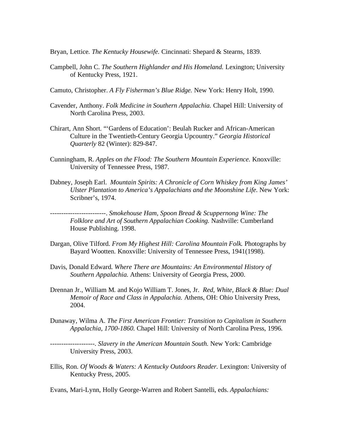Bryan, Lettice. *The Kentucky Housewife.* Cincinnati: Shepard & Stearns, 1839.

- Campbell, John C. *The Southern Highlander and His Homeland.* Lexington; University of Kentucky Press, 1921.
- Camuto, Christopher. *A Fly Fisherman's Blue Ridge.* New York: Henry Holt, 1990.
- Cavender, Anthony. *Folk Medicine in Southern Appalachia.* Chapel Hill: University of North Carolina Press, 2003.
- Chirart, Ann Short. "'Gardens of Education': Beulah Rucker and African-American Culture in the Twentieth-Century Georgia Upcountry." *Georgia Historical Quarterly* 82 (Winter): 829-847.
- Cunningham, R. *Apples on the Flood: The Southern Mountain Experience.* Knoxville: University of Tennessee Press, 1987.
- Dabney, Joseph Earl. *Mountain Spirits: A Chronicle of Corn Whiskey from King James' Ulster Plantation to America's Appalachians and the Moonshine Life. New York:* Scribner's, 1974.

-------------------------. *Smokehouse Ham, Spoon Bread & Scuppernong Wine: The Folklore and Art of Southern Appalachian Cooking.* Nashville: Cumberland House Publishing. 1998.

- Dargan, Olive Tilford. *From My Highest Hill: Carolina Mountain Folk.* Photographs by Bayard Wootten. Knoxville: University of Tennessee Press, 1941(1998).
- Davis, Donald Edward. *Where There are Mountains: An Environmental History of Southern Appalachia.* Athens: University of Georgia Press, 2000.
- Drennan Jr., William M. and Kojo William T. Jones, Jr. *Red, White, Black & Blue: Dual Memoir of Race and Class in Appalachia.* Athens, OH: Ohio University Press, 2004.
- Dunaway, Wilma A. *The First American Frontier: Transition to Capitalism in Southern Appalachia, 1700-1860.* Chapel Hill: University of North Carolina Press, 1996.

--------------------. *Slavery in the American Mountain South.* New York: Cambridge University Press, 2003.

Ellis, Ron. *Of Woods & Waters: A Kentucky Outdoors Reader.* Lexington: University of Kentucky Press, 2005.

Evans, Mari-Lynn, Holly George-Warren and Robert Santelli, eds. *Appalachians:*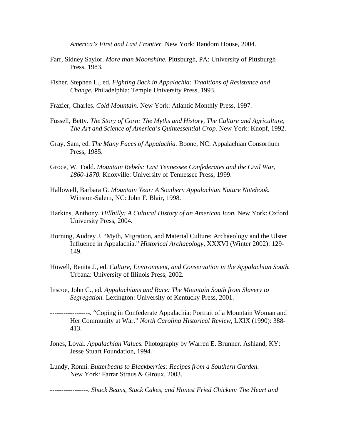*America's First and Last Frontier.* New York: Random House, 2004.

- Farr, Sidney Saylor. *More than Moonshine.* Pittsburgh, PA: University of Pittsburgh Press, 1983.
- Fisher, Stephen L., ed. *Fighting Back in Appalachia: Traditions of Resistance and Change.* Philadelphia: Temple University Press, 1993.
- Frazier, Charles. *Cold Mountain.* New York: Atlantic Monthly Press, 1997.
- Fussell, Betty. *The Story of Corn: The Myths and History, The Culture and Agriculture, The Art and Science of America's Quintessential Crop.* New York: Knopf, 1992.
- Gray, Sam, ed. *The Many Faces of Appalachia.* Boone, NC: Appalachian Consortium Press, 1985.
- Groce, W. Todd. *Mountain Rebels: East Tennessee Confederates and the Civil War, 1860-1870.* Knoxville: University of Tennessee Press, 1999.
- Hallowell, Barbara G. *Mountain Year: A Southern Appalachian Nature Notebook.*  Winston-Salem, NC: John F. Blair, 1998.
- Harkins, Anthony. *Hillbilly: A Cultural History of an American Icon*. New York: Oxford University Press, 2004.
- Horning, Audrey J. "Myth, Migration, and Material Culture: Archaeology and the Ulster Influence in Appalachia." *Historical Archaeology,* XXXVI (Winter 2002): 129- 149.
- Howell, Benita J., ed. *Culture, Environment, and Conservation in the Appalachian South.*  Urbana: University of Illinois Press, 2002.
- Inscoe, John C., ed. *Appalachians and Race: The Mountain South from Slavery to Segregation.* Lexington: University of Kentucky Press, 2001.
- ------------------. "Coping in Confederate Appalachia: Portrait of a Mountain Woman and Her Community at War." *North Carolina Historical Review,* LXIX (1990): 388- 413.
- Jones, Loyal. *Appalachian Values.* Photography by Warren E. Brunner. Ashland, KY: Jesse Stuart Foundation, 1994.
- Lundy, Ronni. *Butterbeans to Blackberries: Recipes from a Southern Garden.*  New York: Farrar Straus & Giroux, 2003.

-----------------. *Shuck Beans, Stack Cakes, and Honest Fried Chicken: The Heart and*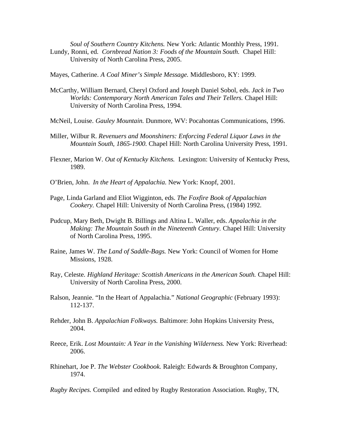*Soul of Southern Country Kitchens.* New York: Atlantic Monthly Press, 1991. Lundy, Ronni, ed. *Cornbread Nation 3: Foods of the Mountain South.* Chapel Hill: University of North Carolina Press, 2005.

Mayes, Catherine. *A Coal Miner's Simple Message.* Middlesboro, KY: 1999.

- McCarthy, William Bernard, Cheryl Oxford and Joseph Daniel Sobol, eds. *Jack in Two Worlds: Contemporary North American Tales and Their Tellers.* Chapel Hill: University of North Carolina Press, 1994.
- McNeil, Louise. *Gauley Mountain.* Dunmore, WV: Pocahontas Communications, 1996.
- Miller, Wilbur R. *Revenuers and Moonshiners: Enforcing Federal Liquor Laws in the Mountain South, 1865-1900.* Chapel Hill: North Carolina University Press, 1991*.*
- Flexner, Marion W. *Out of Kentucky Kitchens.* Lexington: University of Kentucky Press, 1989.
- O'Brien, John. *In the Heart of Appalachia.* New York: Knopf, 2001.
- Page, Linda Garland and Eliot Wigginton, eds. *The Foxfire Book of Appalachian Cookery.* Chapel Hill: University of North Carolina Press, (1984) 1992.
- Pudcup, Mary Beth, Dwight B. Billings and Altina L. Waller, eds. *Appalachia in the Making: The Mountain South in the Nineteenth Century.* Chapel Hill: University of North Carolina Press, 1995.
- Raine, James W. *The Land of Saddle-Bags.* New York: Council of Women for Home Missions, 1928.
- Ray, Celeste. *Highland Heritage: Scottish Americans in the American South.* Chapel Hill: University of North Carolina Press, 2000.
- Ralson, Jeannie. "In the Heart of Appalachia." *National Geographic* (February 1993): 112-137.
- Rehder, John B. *Appalachian Folkways.* Baltimore: John Hopkins University Press, 2004.
- Reece, Erik. *Lost Mountain: A Year in the Vanishing Wilderness.* New York: Riverhead: 2006.
- Rhinehart, Joe P. *The Webster Cookbook.* Raleigh: Edwards & Broughton Company, 1974.

*Rugby Recipes.* Compiled and edited by Rugby Restoration Association. Rugby, TN,